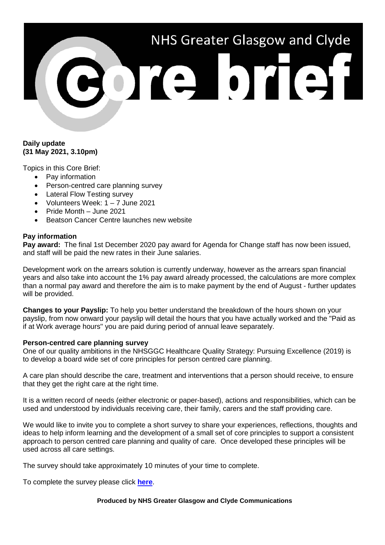# NHS Greater Glasgow and Clyde

# **Daily update (31 May 2021, 3.10pm)**

Topics in this Core Brief:

- Pay information
- Person-centred care planning survey
- Lateral Flow Testing survey
- Volunteers Week: 1 7 June 2021
- Pride Month June 2021
- Beatson Cancer Centre launches new website

# **Pay information**

**Pay award:** The final 1st December 2020 pay award for Agenda for Change staff has now been issued, and staff will be paid the new rates in their June salaries.

Development work on the arrears solution is currently underway, however as the arrears span financial years and also take into account the 1% pay award already processed, the calculations are more complex than a normal pay award and therefore the aim is to make payment by the end of August - further updates will be provided.

**Changes to your Payslip:** To help you better understand the breakdown of the hours shown on your payslip, from now onward your payslip will detail the hours that you have actually worked and the "Paid as if at Work average hours" you are paid during period of annual leave separately.

# **Person-centred care planning survey**

One of our quality ambitions in the NHSGGC Healthcare Quality Strategy: Pursuing Excellence (2019) is to develop a board wide set of core principles for person centred care planning.

A care plan should describe the care, treatment and interventions that a person should receive, to ensure that they get the right care at the right time.

It is a written record of needs (either electronic or paper-based), actions and responsibilities, which can be used and understood by individuals receiving care, their family, carers and the staff providing care.

We would like to invite you to complete a short survey to share your experiences, reflections, thoughts and ideas to help inform learning and the development of a small set of core principles to support a consistent approach to person centred care planning and quality of care. Once developed these principles will be used across all care settings.

The survey should take approximately 10 minutes of your time to complete.

To complete the survey please click **[here](https://forms.office.com/Pages/ResponsePage.aspx?id=veDvEDCgykuAnLXmdF5Jmi-yaMCS_MJIoZBqE46z4XVUMks3RFFEWk1TOFBEME9TUDRGOTZGVllQTSQlQCN0PWcu)**.

#### **Produced by NHS Greater Glasgow and Clyde Communications**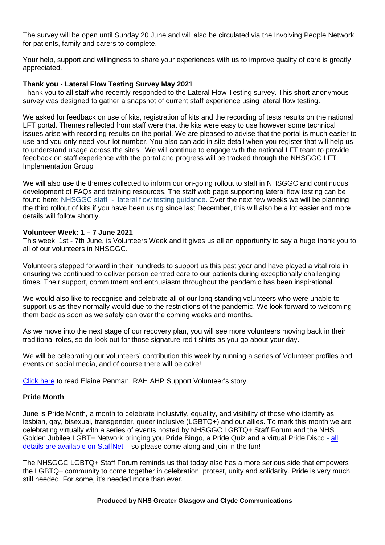The survey will be open until Sunday 20 June and will also be circulated via the Involving People Network for patients, family and carers to complete.

Your help, support and willingness to share your experiences with us to improve quality of care is greatly appreciated.

# **Thank you - Lateral Flow Testing Survey May 2021**

Thank you to all staff who recently responded to the Lateral Flow Testing survey. This short anonymous survey was designed to gather a snapshot of current staff experience using lateral flow testing.

We asked for feedback on use of kits, registration of kits and the recording of tests results on the national LFT portal. Themes reflected from staff were that the kits were easy to use however some technical issues arise with recording results on the portal. We are pleased to advise that the portal is much easier to use and you only need your lot number. You also can add in site detail when you register that will help us to understand usage across the sites. We will continue to engage with the national LFT team to provide feedback on staff experience with the portal and progress will be tracked through the NHSGGC LFT Implementation Group

We will also use the themes collected to inform our on-going rollout to staff in NHSGGC and continuous development of FAQs and training resources. The staff web page supporting lateral flow testing can be found here: NHSGGC staff - [lateral flow testing guidance.](https://www.nhsggc.org.uk/your-health/health-issues/covid-19-coronavirus/for-nhsggc-staff/lateral-flow-device-testing-guidance/) Over the next few weeks we will be planning the third rollout of kits if you have been using since last December, this will also be a lot easier and more details will follow shortly.

### **Volunteer Week: 1 – 7 June 2021**

This week, 1st - 7th June, is Volunteers Week and it gives us all an opportunity to say a huge thank you to all of our volunteers in NHSGGC.

Volunteers stepped forward in their hundreds to support us this past year and have played a vital role in ensuring we continued to deliver person centred care to our patients during exceptionally challenging times. Their support, commitment and enthusiasm throughout the pandemic has been inspirational.

We would also like to recognise and celebrate all of our long standing volunteers who were unable to support us as they normally would due to the restrictions of the pandemic. We look forward to welcoming them back as soon as we safely can over the coming weeks and months.

As we move into the next stage of our recovery plan, you will see more volunteers moving back in their traditional roles, so do look out for those signature red t shirts as you go about your day.

We will be celebrating our volunteers' contribution this week by running a series of Volunteer profiles and events on social media, and of course there will be cake!

[Click here](https://www.nhsggc.org.uk/working-with-us/volunteering/volunteers-week-2021-case-study-elaine-penman/) to read Elaine Penman, RAH AHP Support Volunteer's story.

### **Pride Month**

June is Pride Month, a month to celebrate inclusivity, equality, and visibility of those who identify as lesbian, gay, bisexual, transgender, queer inclusive (LGBTQ+) and our allies. To mark this month we are celebrating virtually with a series of events hosted by NHSGGC LGBTQ+ Staff Forum and the NHS Golden Jubilee LGBT+ Network bringing you Pride Bingo, a Pride Quiz and a virtual Pride Disco - [all](http://www.staffnet.ggc.scot.nhs.uk/Corporate%20Services/Communications/Hot%20Topics/Pages/comms_PrideMonth-June2021_mb010621.aspx)  [details are available on StaffNet](http://www.staffnet.ggc.scot.nhs.uk/Corporate%20Services/Communications/Hot%20Topics/Pages/comms_PrideMonth-June2021_mb010621.aspx) – so please come along and join in the fun!

The NHSGGC LGBTQ+ Staff Forum reminds us that today also has a more serious side that empowers the LGBTQ+ community to come together in celebration, protest, unity and solidarity. Pride is very much still needed. For some, it's needed more than ever.

#### **Produced by NHS Greater Glasgow and Clyde Communications**